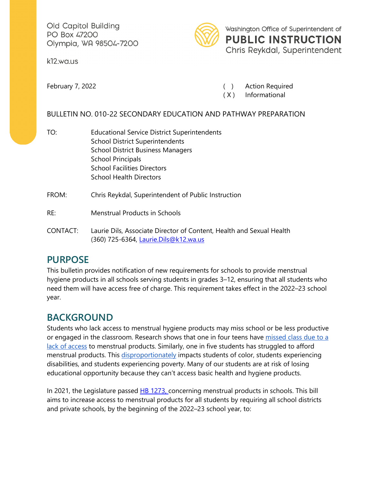Old Capitol Building PO Box 47200 Olympia, WA 98504-7200

kl2.wa.us



Washington Office of Superintendent of **PUBLIC INSTRUCTION**  Chris Reykdal, Superintendent

February 7, 2022 **(Calculary 7, 2022** and 2012) **Action Required** 

( X ) Informational

## BULLETIN NO. 010-22 SECONDARY EDUCATION AND PATHWAY PREPARATION

- TO: **Educational Service District Superintendents** School District Superintendents School District Business Managers School Principals School Facilities Directors School Health Directors
- FROM: Chris Reykdal, Superintendent of Public Instruction
- Menstrual Products in Schools
- RE: Menstrual Products in Schools<br>CONTACT: Laurie Dils, Associate Director of Content, Health and Sexual Health (360) 725-6364, [Laurie.Dils@k12.wa.us](mailto:Laurie.Dils@k12.wa.us)

## **PURPOSE**

This bulletin provides notification of new requirements for schools to provide menstrual hygiene products in all schools serving students in grades 3–12, ensuring that all students who need them will have access free of charge. This requirement takes effect in the 2022–23 school year.

## **BACKGROUND**

Students who lack access to menstrual hygiene products may miss school or be less productive or engaged in the classroom. Research shows that one in four teens have [missed class due to a](https://nam02.safelinks.protection.outlook.com/?url=https%3A%2F%2Fperiod.org%2Fuploads%2FState-of-the-Period-2021.pdf&data=04%7C01%7CLaurie.Dils%40k12.wa.us%7Cd3a5271b8aaf48730b6608d99a5cc1fd%7Cb2fe5ccf10a546feae45a0267412af7a%7C0%7C0%7C637710545438860228%7CUnknown%7CTWFpbGZsb3d8eyJWIjoiMC4wLjAwMDAiLCJQIjoiV2luMzIiLCJBTiI6Ik1haWwiLCJXVCI6Mn0%3D%7C1000&sdata=Lu5m7qOB7BslmQrzcN1n1LsUReCIiujaVqHjOIKfAIE%3D&reserved=0)  [lack of access](https://nam02.safelinks.protection.outlook.com/?url=https%3A%2F%2Fperiod.org%2Fuploads%2FState-of-the-Period-2021.pdf&data=04%7C01%7CLaurie.Dils%40k12.wa.us%7Cd3a5271b8aaf48730b6608d99a5cc1fd%7Cb2fe5ccf10a546feae45a0267412af7a%7C0%7C0%7C637710545438860228%7CUnknown%7CTWFpbGZsb3d8eyJWIjoiMC4wLjAwMDAiLCJQIjoiV2luMzIiLCJBTiI6Ik1haWwiLCJXVCI6Mn0%3D%7C1000&sdata=Lu5m7qOB7BslmQrzcN1n1LsUReCIiujaVqHjOIKfAIE%3D&reserved=0) to menstrual products. Similarly, one in five students has struggled to afford menstrual products. This [disproportionately](https://nam02.safelinks.protection.outlook.com/?url=https%3A%2F%2Fpubmed.ncbi.nlm.nih.gov%2F30633137%2F&data=04%7C01%7CLaurie.Dils%40k12.wa.us%7Cd3a5271b8aaf48730b6608d99a5cc1fd%7Cb2fe5ccf10a546feae45a0267412af7a%7C0%7C0%7C637710545438870179%7CUnknown%7CTWFpbGZsb3d8eyJWIjoiMC4wLjAwMDAiLCJQIjoiV2luMzIiLCJBTiI6Ik1haWwiLCJXVCI6Mn0%3D%7C1000&sdata=ivx2JDXnRym9CaVVSm7sQRbUBv9GGexw01tduXMciGs%3D&reserved=0) impacts students of color, students experiencing disabilities, and students experiencing poverty. Many of our students are at risk of losing educational opportunity because they can't access basic health and hygiene products.

 and private schools, by the beginning of the 2022–23 school year, to: In 2021, the Legislature passed  $HB$  1273, concerning menstrual products in schools. This bill aims to increase access to menstrual products for all students by requiring all school districts